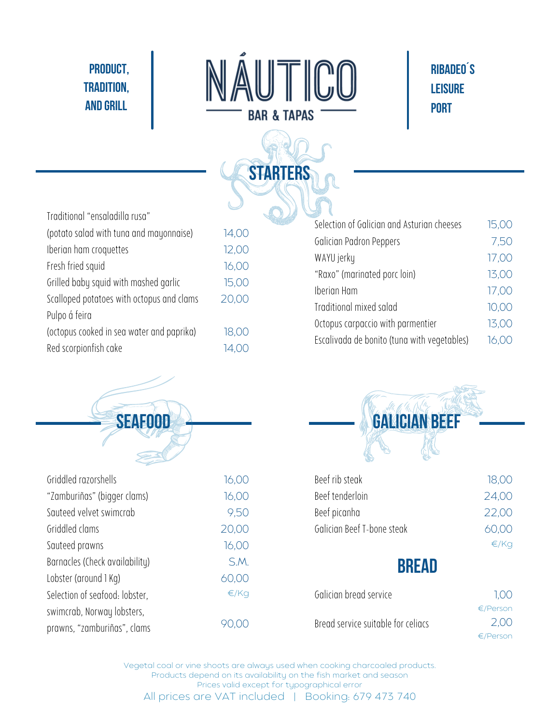## **PRODUCT, TRADITION, AND GRILL**



**STARTERS**

## **RIBADEO´S LEISURE PORT**

| Traditional "ensaladilla rusa"            |                   |
|-------------------------------------------|-------------------|
| (potato salad with tuna and mayonnaise)   | 14,00             |
| Iberian ham croquettes                    | 12,00             |
| Fresh fried squid                         | 16,00             |
| Grilled baby squid with mashed garlic     | 15,00             |
| Scalloped potatoes with octopus and clams | 20,00             |
| Pulpo á feira                             |                   |
| (octopus cooked in sea water and paprika) | 18,00             |
| Red scorpionfish cake                     | $\overline{1}4$ , |

| Selection of Galician and Asturian cheeses  | 15,00 |
|---------------------------------------------|-------|
| Galician Padron Peppers                     | 7,50  |
| WAYU jerky                                  | 17,00 |
| "Raxo" (marinated porc loin)                | 13,00 |
| Iberian Ham                                 | 17,00 |
| Traditional mixed salad                     | 10,00 |
| Octopus carpaccio with parmentier           | 13,00 |
| Escalivada de bonito (tuna with vegetables) | 16.00 |

| SEAFOOD                        |       |
|--------------------------------|-------|
|                                |       |
| Griddled razorshells           | 16,00 |
| "Zamburiñas" (biqqer clams)    | 16,00 |
| Sauteed velvet swimcrab        | 9,50  |
| Griddled clams                 | 20,00 |
| Sauteed prawns                 | 16,00 |
| Barnacles (Check availability) | S.M.  |
| Lobster (around 1 Kg)          | 60,00 |
| Selection of seafood: lobster, | €/Kq  |
| swimcrab, Norway lobsters,     |       |
| prawns, "zamburiñas", clams    |       |



| Beef rib steak             | 18,00 |
|----------------------------|-------|
| Beef tenderloin            | 24,00 |
| Beef picanha               | 22.00 |
| Galician Beef T-bone steak | 60.00 |
|                            | €/Ka  |

## **BREAD**

| Galician bread service             | 1.00     |
|------------------------------------|----------|
|                                    | €/Person |
| Bread service suitable for celiacs | 2.00     |
|                                    | €/Person |

Vegetal coal or vine shoots are always used when cooking charcoaled products. Products depend on its availability on the fish market and season Prices valid except for typographical error All prices are VAT included | Booking: 679 473 740